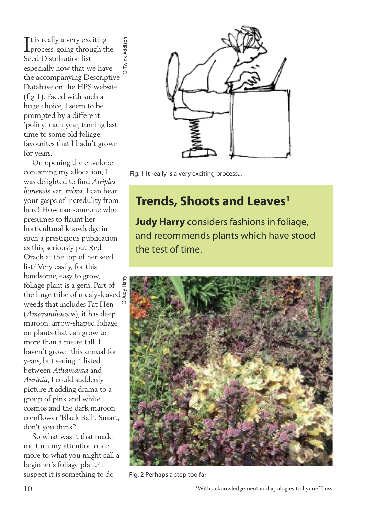It is really a very exciting<br>process, going through the  $\mathsf{T}$ t is really a very exciting **Twink Addison**  Twink Addison Seed Distribution list, especially now that we have ©the accompanying Descriptive Database on the HPS website (fig 1). Faced with such a huge choice, I seem to be prompted by a different 'policy' each year, turning last time to some old foliage favourites that I hadn't grown for years.

On opening the envelope containing my allocation, I was delighted to find *Atriplex hortensis* var*. rubra*. I can hear your gasps of incredulity from here! How can someone who presumes to flaunt her horticultural knowledge in such a prestigious publication as this, seriously put Red Orach at the top of her seed list? Very easily, for this handsome, easy to grow, foliage plant is a gem. Part of the huge tribe of mealy-leaved  $\frac{5}{5}$ weeds that includes Fat Hen (*Amaranthaceae*), it has deep maroon, arrow-shaped foliage on plants that can grow to more than a metre tall. I haven't grown this annual for years, but seeing it listed between *Athamanta* and *Aurinia*, I could suddenly picture it adding drama to a group of pink and white cosmos and the dark maroon cornflower 'Black Ball'. Smart, don't you think?

So what was it that made me turn my attention once more to what you might call a beginner's foliage plant? I suspect it is something to do



Fig. 1 It really is a very exciting process...

## **Trends, Shoots and Leaves<sup>1</sup>**

**Judy Harry** considers fashions in foliage, and recommends plants which have stood the test of time.



Fig. 2 Perhaps a step too far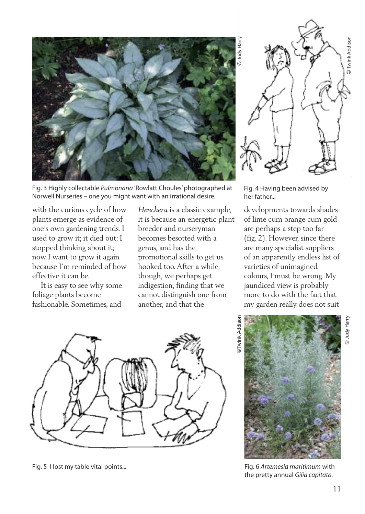

Fig. 3 Highly collectable *Pulmonaria* 'Rowlatt Choules'photographed at Norwell Nurseries – one you might want with an irrational desire.

with the curious cycle of how plants emerge as evidence of one's own gardening trends. I used to grow it; it died out; I stopped thinking about it; now I want to grow it again because I'm reminded of how effective it can be.

It is easy to see why some foliage plants become fashionable. Sometimes, and

*Heuchera* is a classic example, it is because an energetic plant breeder and nurseryman becomes besotted with a genus, and has the promotional skills to get us hooked too.After a while, though, we perhaps get indigestion, finding that we cannot distinguish one from another, and that the



Fig. 5 I lost my table vital points... Fig. 6 *Artemesia maritimum* with



Fig. 4 Having been advised by her father...

developments towards shades of lime cum orange cum gold are perhaps a step too far (fig. 2). However, since there are many specialist suppliers of an apparently endless list of varieties of unimagined colours, I must be wrong. My jaundiced view is probably more to do with the fact that my garden really does not suit





the pretty annual *Gilia capitata.*

©Judy Harry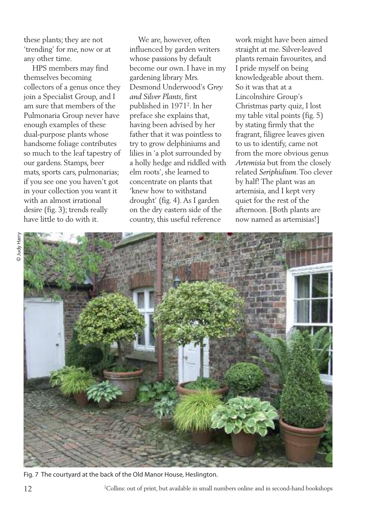these plants; they are not 'trending' for me, now or at any other time.

HPS members may find themselves becoming collectors of a genus once they join a Specialist Group, and I am sure that members of the Pulmonaria Group never have enough examples of these dual-purpose plants whose handsome foliage contributes so much to the leaf tapestry of our gardens. Stamps, beer mats, sports cars, pulmonarias; if you see one you haven't got in your collection you want it with an almost irrational desire (fig. 3); trends really have little to do with it.

We are, however, often influenced by garden writers whose passions by default become our own. I have in my gardening library Mrs. Desmond Underwood's *Grey and Silver Plants*, first published in 19712 . In her preface she explains that, having been advised by her father that it was pointless to try to grow delphiniums and lilies in 'a plot surrounded by a holly hedge and riddled with elm roots', she learned to concentrate on plants that 'knew how to withstand drought' (fig. 4).As I garden on the dry eastern side of the country, this useful reference

work might have been aimed straight at me. Silver-leaved plants remain favourites, and I pride myself on being knowledgeable about them. So it was that at a Lincolnshire Group's Christmas party quiz, I lost my table vital points (fig. 5) by stating firmly that the fragrant, filigree leaves given to us to identify, came not from the more obvious genus *Artemisia* but from the closely related *Seriphidium*.Too clever by half! The plant was an artemisia, and I kept very quiet for the rest of the afternoon. [Both plants are now named as artemisias!]



Fig. 7 The courtyard at the back of the Old Manor House, Heslington.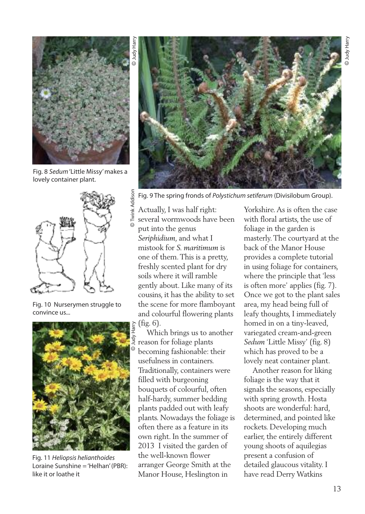

Fig. 8 *Sedum*'Little Missy'makes a lovely container plant.



Fig. 10 Nurserymen struggle to convince us...



Fig. 11 *Heliopsis helianthoides* Loraine Sunshine ='Helhan'(PBR): like it or loathe it



Fig. 9 The spring fronds of *Polystichum setiferum* (Divisilobum Group). Twink Addiso Twink Addison

Actually, I was half right: several wormwoods have been put into the genus *Seriphidium*, and what I mistook for *S. maritimum* is one of them.This is a pretty, freshly scented plant for dry soils where it will ramble gently about. Like many of its cousins, it has the ability to set the scene for more flamboyant and colourful flowering plants (fig. 6).

Which brings us to another reason for foliage plants becoming fashionable: their usefulness in containers. Traditionally, containers were filled with burgeoning bouquets of colourful, often half-hardy, summer bedding plants padded out with leafy plants. Nowadays the foliage is often there as a feature in its own right. In the summer of 2013 I visited the garden of the well-known flower arranger George Smith at the Manor House, Heslington in

Yorkshire.As is often the case with floral artists, the use of foliage in the garden is masterly.The courtyard at the back of the Manor House provides a complete tutorial in using foliage for containers, where the principle that 'less is often more' applies (fig. 7). Once we got to the plant sales area, my head being full of leafy thoughts, I immediately homed in on a tiny-leaved, variegated cream-and-green *Sedum* 'Little Missy' (fig. 8) which has proved to be a lovely neat container plant.

Another reason for liking foliage is the way that it signals the seasons, especially with spring growth. Hosta shoots are wonderful: hard, determined, and pointed like rockets. Developing much earlier, the entirely different young shoots of aquilegias present a confusion of detailed glaucous vitality. I have read Derry Watkins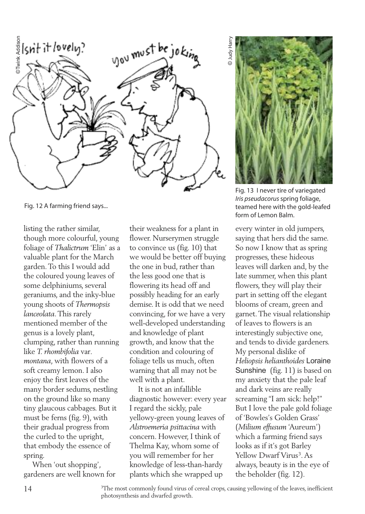

Fig. 12 A farming friend says...

listing the rather similar, though more colourful, young foliage of *Thalictrum* 'Elin' as a valuable plant for the March garden.To this I would add the coloured young leaves of some delphiniums, several geraniums, and the inky-blue young shoots of *Thermopsis lanceolata*.This rarely mentioned member of the genus is a lovely plant, clumping, rather than running like *T. rhombifolia* var*. montana*, with flowers of a soft creamy lemon. I also enjoy the first leaves of the many border sedums, nestling on the ground like so many tiny glaucous cabbages. But it must be ferns (fig. 9), with their gradual progress from the curled to the upright, that embody the essence of spring.

When 'out shopping', gardeners are well known for

their weakness for a plant in flower. Nurserymen struggle to convince us (fig. 10) that we would be better off buying the one in bud, rather than the less good one that is flowering its head off and possibly heading for an early demise. It is odd that we need convincing, for we have a very well-developed understanding and knowledge of plant growth, and know that the condition and colouring of foliage tells us much, often warning that all may not be well with a plant.

It is not an infallible diagnostic however: every year I regard the sickly, pale yellowy-green young leaves of *Alstroemeria psittacina* with concern. However, I think of Thelma Kay, whom some of you will remember for her knowledge of less-than-hardy plants which she wrapped up

 Judy Harry Judy Harr ©



Fig. 13 I never tire of variegated *Iris pseudacorus*spring foliage, teamed here with the gold-leafed form of Lemon Balm.

every winter in old jumpers, saying that hers did the same. So now I know that as spring progresses, these hideous leaves will darken and, by the late summer, when this plant flowers, they will play their part in setting off the elegant blooms of cream, green and garnet.The visual relationship of leaves to flowers is an interestingly subjective one, and tends to divide gardeners. My personal dislike of *Heliopsis helianthoides* Loraine Sunshine (fig. 11) is based on my anxiety that the pale leaf and dark veins are really screaming "I am sick: help!" But I love the pale gold foliage of 'Bowles's Golden Grass' (*Milium effusum* 'Aureum') which a farming friend says looks as if it's got Barley Yellow Dwarf Virus<sup>3</sup>. As always, beauty is in the eye of the beholder (fig. 12).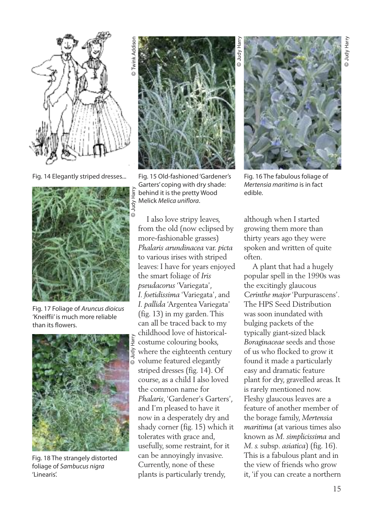

Fig. 14 Elegantly striped dresses...



Fig. 17 Foliage of *Aruncus dioicus* 'Kneiffii' is much more reliable than its flowers.



Fig. 18 The strangely distorted foliage of *Sambucus nigra* 'Linearis'.



©

Fig. 15 Old-fashioned'Gardener's Garters' coping with dry shade: behind it is the pretty Wood Melick *Melica uniflora*.

I also love stripy leaves, from the old (now eclipsed by more-fashionable grasses) *Phalaris arundinacea* var. *picta* to various irises with striped leaves: I have for years enjoyed the smart foliage of *Iris pseudacorus* 'Variegata', *I. foetidissima* 'Variegata', and *I. pallida* 'Argentea Variegata' (fig. 13) in my garden.This can all be traced back to my childhood love of historicalcostume colouring books, where the eighteenth century  $_{\odot}$  volume featured elegantly striped dresses (fig. 14). Of course, as a child I also loved the common name for *Phalaris*, 'Gardener's Garters', and I'm pleased to have it now in a desperately dry and shady corner (fig. 15) which it tolerates with grace and, usefully, some restraint, for it can be annoyingly invasive. Currently, none of these plants is particularly trendy,



Fig. 16 The fabulous foliage of *Mertensia maritima* is in fact edible.

although when I started growing them more than thirty years ago they were spoken and written of quite often.

A plant that had a hugely popular spell in the 1990s was the excitingly glaucous *Cerinthe major* 'Purpurascens'. The HPS Seed Distribution was soon inundated with bulging packets of the typically giant-sized black *Boraginaceae* seeds and those of us who flocked to grow it found it made a particularly easy and dramatic feature plant for dry, gravelled areas. It is rarely mentioned now. Fleshy glaucous leaves are a feature of another member of the borage family, *Mertensia maritima* (at various times also known as *M. simplicissima* and *M. s.* subsp*. asiatica*) (fig. 16). This is a fabulous plant and in the view of friends who grow it, 'if you can create a northern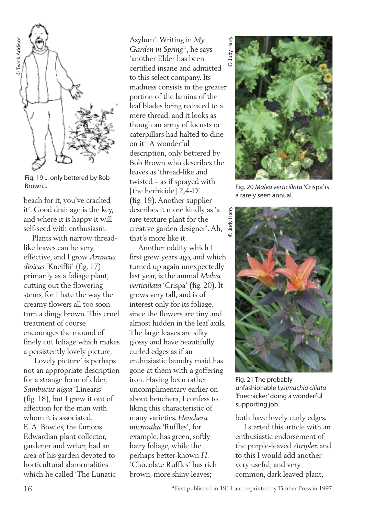

Fig. 19 ... only bettered by Bob Brown...

beach for it, you've cracked it'. Good drainage is the key, and where it is happy it will self-seed with enthusiasm.

Plants with narrow threadlike leaves can be very effective, and I grow *Aruncus dioicus* 'Kneiffii' (fig. 17) primarily as a foliage plant, cutting out the flowering stems, for I hate the way the creamy flowers all too soon turn a dingy brown.This cruel treatment of course encourages the mound of finely cut foliage which makes a persistently lovely picture.

'Lovely picture' is perhaps not an appropriate description for a strange form of elder, *Sambucus nigra* 'Linearis' (fig. 18), but I grow it out of affection for the man with whom it is associated. E.A. Bowles, the famous Edwardian plant collector, gardener and writer, had an area of his garden devoted to horticultural abnormalities which he called 'The Lunatic

Asylum'.Writing in *My Garden in Spring* <sup>4</sup> , he says 'another Elder has been certified insane and admitted to this select company. Its madness consists in the greater portion of the lamina of the leaf blades being reduced to a mere thread, and it looks as though an army of locusts or caterpillars had halted to dine on it'.A wonderful description, only bettered by Bob Brown who describes the leaves as 'thread-like and twisted – as if sprayed with [the herbicide] 2,4-D' (fig. 19).Another supplier describes it more kindly as 'a rare texture plant for the creative garden designer'.Ah, that's more like it.

Another oddity which I first grew years ago, and which turned up again unexpectedly last year, is the annual *Malva verticillata* 'Crispa' (fig. 20). It grows very tall, and is of interest only for its foliage, since the flowers are tiny and almost hidden in the leaf axils. The large leaves are silky glossy and have beautifully curled edges as if an enthusiastic laundry maid has gone at them with a goffering iron. Having been rather uncomplimentary earlier on about heuchera, I confess to liking this characteristic of many varieties. *Heuchera micrantha* 'Ruffles', for example, has green, softly hairy foliage, while the perhaps better-known *H*. 'Chocolate Ruffles' has rich brown, more shiny leaves;



Fig. 20 *Malva verticillata* 'Crispa' is a rarely seen annual.



Fig. 21 The probably unfashionable *Lysimachia ciliata* 'Firecracker'doing a wonderful supporting job.

both have lovely curly edges.

I started this article with an enthusiastic endorsement of the purple-leaved *Atriplex* and to this I would add another very useful, and very common, dark leaved plant,